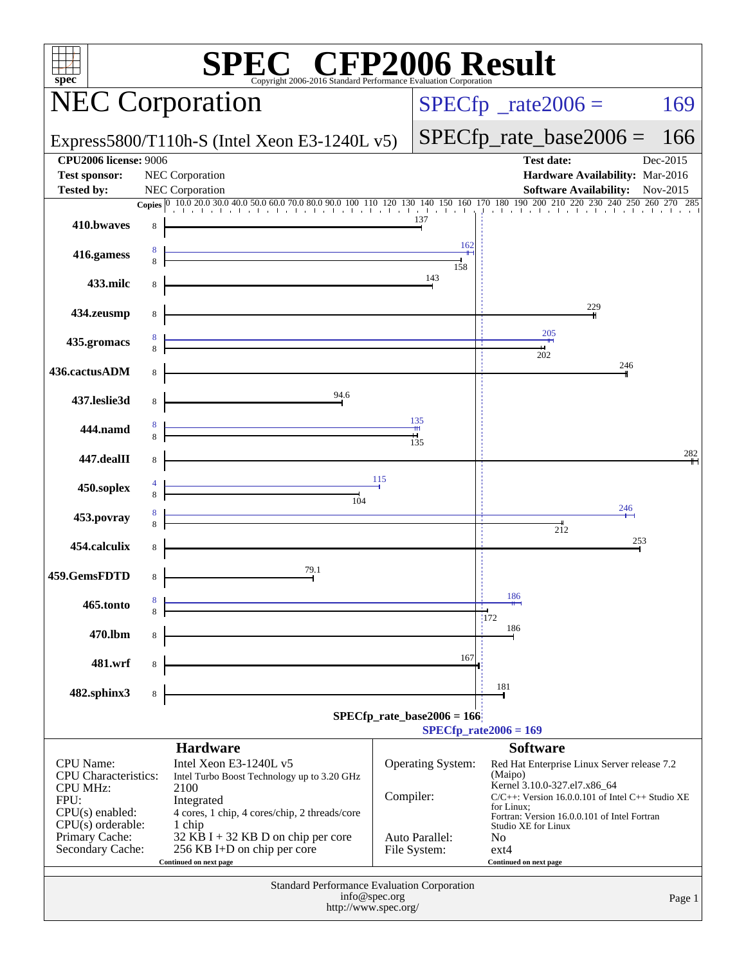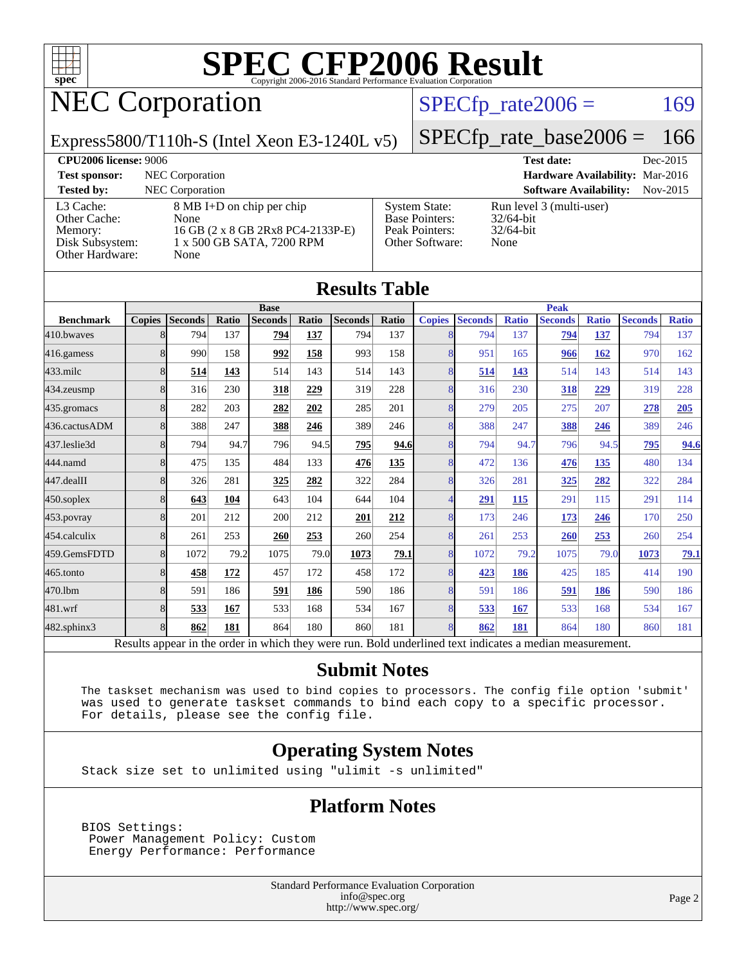

# NEC Corporation

#### $SPECTp_rate2006 = 169$

Express5800/T110h-S (Intel Xeon E3-1240L v5)

[SPECfp\\_rate\\_base2006 =](http://www.spec.org/auto/cpu2006/Docs/result-fields.html#SPECfpratebase2006) 166

**[CPU2006 license:](http://www.spec.org/auto/cpu2006/Docs/result-fields.html#CPU2006license)** 9006 **[Test date:](http://www.spec.org/auto/cpu2006/Docs/result-fields.html#Testdate)** Dec-2015 **[Test sponsor:](http://www.spec.org/auto/cpu2006/Docs/result-fields.html#Testsponsor)** NEC Corporation **[Hardware Availability:](http://www.spec.org/auto/cpu2006/Docs/result-fields.html#HardwareAvailability)** Mar-2016 **[Tested by:](http://www.spec.org/auto/cpu2006/Docs/result-fields.html#Testedby)** NEC Corporation **[Software Availability:](http://www.spec.org/auto/cpu2006/Docs/result-fields.html#SoftwareAvailability)** Nov-2015 [L3 Cache:](http://www.spec.org/auto/cpu2006/Docs/result-fields.html#L3Cache) 8 MB I+D on chip per chip [Other Cache:](http://www.spec.org/auto/cpu2006/Docs/result-fields.html#OtherCache) [Memory:](http://www.spec.org/auto/cpu2006/Docs/result-fields.html#Memory) 16 GB (2 x 8 GB 2Rx8 PC4-2133P-E) [Disk Subsystem:](http://www.spec.org/auto/cpu2006/Docs/result-fields.html#DiskSubsystem) 1 x 500 GB SATA, 7200 RPM [Other Hardware:](http://www.spec.org/auto/cpu2006/Docs/result-fields.html#OtherHardware) None [System State:](http://www.spec.org/auto/cpu2006/Docs/result-fields.html#SystemState) Run level 3 (multi-user)<br>Base Pointers: 32/64-bit [Base Pointers:](http://www.spec.org/auto/cpu2006/Docs/result-fields.html#BasePointers) [Peak Pointers:](http://www.spec.org/auto/cpu2006/Docs/result-fields.html#PeakPointers) 32/64-bit [Other Software:](http://www.spec.org/auto/cpu2006/Docs/result-fields.html#OtherSoftware) None

| <b>Results Table</b> |               |                                                                                                          |       |                |       |                |              |                |                |              |                |              |                |              |
|----------------------|---------------|----------------------------------------------------------------------------------------------------------|-------|----------------|-------|----------------|--------------|----------------|----------------|--------------|----------------|--------------|----------------|--------------|
|                      | <b>Base</b>   |                                                                                                          |       |                |       |                | <b>Peak</b>  |                |                |              |                |              |                |              |
| <b>Benchmark</b>     | <b>Copies</b> | <b>Seconds</b>                                                                                           | Ratio | <b>Seconds</b> | Ratio | <b>Seconds</b> | <b>Ratio</b> | <b>Copies</b>  | <b>Seconds</b> | <b>Ratio</b> | <b>Seconds</b> | <b>Ratio</b> | <b>Seconds</b> | <b>Ratio</b> |
| 410.bwayes           | 8             | 794                                                                                                      | 137   | 794            | 137   | 794            | 137          | 8              | 794            | 137          | 794            | 137          | 794            | 137          |
| 416.gamess           | 8             | 990                                                                                                      | 158   | 992            | 158   | 993            | 158          | 8              | 951            | 165          | 966            | 162          | 970            | 162          |
| $433$ .milc          | 8             | 514                                                                                                      | 143   | 514            | 143   | 514            | 143          | 8              | 514            | 143          | 514            | 143          | 514            | 143          |
| 434.zeusmp           | 8             | 316                                                                                                      | 230   | 318            | 229   | 319            | 228          | 8              | 316            | 230          | 318            | 229          | 319            | 228          |
| 435.gromacs          | 8             | 282                                                                                                      | 203   | 282            | 202   | 285            | 201          | 8              | 279            | 205          | 275            | 207          | 278            | 205          |
| 436.cactusADM        | 8             | 388                                                                                                      | 247   | 388            | 246   | 389            | 246          | 8              | 388            | 247          | 388            | 246          | 389            | 246          |
| 437.leslie3d         | 8             | 794                                                                                                      | 94.7  | 796            | 94.5  | 795            | 94.6         | 8              | 794            | 94.7         | 796            | 94.5         | 795            | 94.6         |
| 444.namd             | 8             | 475                                                                                                      | 135   | 484            | 133   | 476            | 135          | 8              | 472            | 136          | 476            | 135          | 480            | 134          |
| 447.dealII           | 8             | 326                                                                                                      | 281   | 325            | 282   | 322            | 284          | 8              | 326            | 281          | 325            | 282          | 322            | 284          |
| $450$ .soplex        | 8             | 643                                                                                                      | 104   | 643            | 104   | 644            | 104          | 4              | 291            | 115          | 291            | 115          | 291            | 114          |
| $453$ .povray        | 8             | 201                                                                                                      | 212   | 200            | 212   | 201            | 212          | 8              | 173            | 246          | 173            | 246          | 170            | 250          |
| $454$ calculix       | 8             | 261                                                                                                      | 253   | 260            | 253   | 260            | 254          | 8              | 261            | 253          | 260            | 253          | 260            | 254          |
| 459.GemsFDTD         | 8             | 1072                                                                                                     | 79.2  | 1075           | 79.0  | 1073           | 79.1         | $\overline{8}$ | 1072           | 79.2         | 1075           | 79.0         | 1073           | 79.1         |
| 465.tonto            | 8             | 458                                                                                                      | 172   | 457            | 172   | 458            | 172          | 8              | 423            | 186          | 425            | 185          | 414            | 190          |
| 470.1bm              | 8             | 591                                                                                                      | 186   | 591            | 186   | 590            | 186          | 8              | 591            | 186          | <u>591</u>     | 186          | 590            | 186          |
| 481.wrf              | 8             | 533                                                                                                      | 167   | 533            | 168   | 534            | 167          | 8              | 533            | <b>167</b>   | 533            | 168          | 534            | 167          |
| 482.sphinx3          | 8             | 862                                                                                                      | 181   | 864            | 180   | 860            | 181          | 8              | 862            | 181          | 864            | 180          | 860            | 181          |
|                      |               | Results appear in the order in which they were run. Bold underlined text indicates a median measurement. |       |                |       |                |              |                |                |              |                |              |                |              |

#### **[Submit Notes](http://www.spec.org/auto/cpu2006/Docs/result-fields.html#SubmitNotes)**

 The taskset mechanism was used to bind copies to processors. The config file option 'submit' was used to generate taskset commands to bind each copy to a specific processor. For details, please see the config file.

### **[Operating System Notes](http://www.spec.org/auto/cpu2006/Docs/result-fields.html#OperatingSystemNotes)**

Stack size set to unlimited using "ulimit -s unlimited"

#### **[Platform Notes](http://www.spec.org/auto/cpu2006/Docs/result-fields.html#PlatformNotes)**

 BIOS Settings: Power Management Policy: Custom Energy Performance: Performance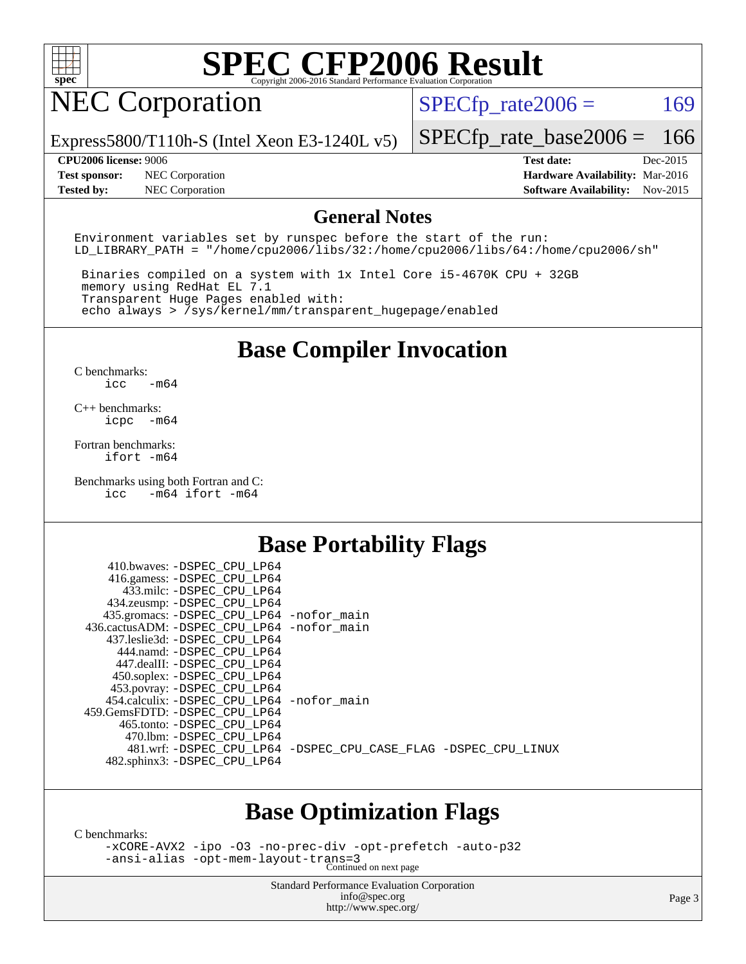

## NEC Corporation

 $SPECTp_rate2006 = 169$ 

Express5800/T110h-S (Intel Xeon E3-1240L v5)

[SPECfp\\_rate\\_base2006 =](http://www.spec.org/auto/cpu2006/Docs/result-fields.html#SPECfpratebase2006) 166

**[Test sponsor:](http://www.spec.org/auto/cpu2006/Docs/result-fields.html#Testsponsor)** NEC Corporation **[Hardware Availability:](http://www.spec.org/auto/cpu2006/Docs/result-fields.html#HardwareAvailability)** Mar-2016

**[CPU2006 license:](http://www.spec.org/auto/cpu2006/Docs/result-fields.html#CPU2006license)** 9006 **[Test date:](http://www.spec.org/auto/cpu2006/Docs/result-fields.html#Testdate)** Dec-2015 **[Tested by:](http://www.spec.org/auto/cpu2006/Docs/result-fields.html#Testedby)** NEC Corporation **[Software Availability:](http://www.spec.org/auto/cpu2006/Docs/result-fields.html#SoftwareAvailability)** Nov-2015

#### **[General Notes](http://www.spec.org/auto/cpu2006/Docs/result-fields.html#GeneralNotes)**

Environment variables set by runspec before the start of the run: LD LIBRARY PATH = "/home/cpu2006/libs/32:/home/cpu2006/libs/64:/home/cpu2006/sh"

 Binaries compiled on a system with 1x Intel Core i5-4670K CPU + 32GB memory using RedHat EL 7.1 Transparent Huge Pages enabled with: echo always > /sys/kernel/mm/transparent\_hugepage/enabled

### **[Base Compiler Invocation](http://www.spec.org/auto/cpu2006/Docs/result-fields.html#BaseCompilerInvocation)**

[C benchmarks](http://www.spec.org/auto/cpu2006/Docs/result-fields.html#Cbenchmarks): [icc -m64](http://www.spec.org/cpu2006/results/res2016q1/cpu2006-20160125-38935.flags.html#user_CCbase_intel_icc_64bit_0b7121f5ab7cfabee23d88897260401c)

[C++ benchmarks:](http://www.spec.org/auto/cpu2006/Docs/result-fields.html#CXXbenchmarks) [icpc -m64](http://www.spec.org/cpu2006/results/res2016q1/cpu2006-20160125-38935.flags.html#user_CXXbase_intel_icpc_64bit_bedb90c1146cab66620883ef4f41a67e)

[Fortran benchmarks](http://www.spec.org/auto/cpu2006/Docs/result-fields.html#Fortranbenchmarks): [ifort -m64](http://www.spec.org/cpu2006/results/res2016q1/cpu2006-20160125-38935.flags.html#user_FCbase_intel_ifort_64bit_ee9d0fb25645d0210d97eb0527dcc06e)

[Benchmarks using both Fortran and C](http://www.spec.org/auto/cpu2006/Docs/result-fields.html#BenchmarksusingbothFortranandC): [icc -m64](http://www.spec.org/cpu2006/results/res2016q1/cpu2006-20160125-38935.flags.html#user_CC_FCbase_intel_icc_64bit_0b7121f5ab7cfabee23d88897260401c) [ifort -m64](http://www.spec.org/cpu2006/results/res2016q1/cpu2006-20160125-38935.flags.html#user_CC_FCbase_intel_ifort_64bit_ee9d0fb25645d0210d97eb0527dcc06e)

### **[Base Portability Flags](http://www.spec.org/auto/cpu2006/Docs/result-fields.html#BasePortabilityFlags)**

| 410.bwaves: -DSPEC CPU LP64<br>416.gamess: -DSPEC_CPU_LP64 |                                                                |
|------------------------------------------------------------|----------------------------------------------------------------|
| 433.milc: -DSPEC CPU LP64                                  |                                                                |
| 434.zeusmp: -DSPEC_CPU_LP64                                |                                                                |
| 435.gromacs: -DSPEC_CPU_LP64 -nofor_main                   |                                                                |
| 436.cactusADM: -DSPEC CPU LP64 -nofor main                 |                                                                |
| 437.leslie3d: -DSPEC CPU LP64                              |                                                                |
| 444.namd: - DSPEC_CPU_LP64                                 |                                                                |
| 447.dealII: -DSPEC_CPU_LP64                                |                                                                |
| 450.soplex: -DSPEC_CPU_LP64                                |                                                                |
| 453.povray: -DSPEC_CPU_LP64                                |                                                                |
| 454.calculix: -DSPEC_CPU_LP64 -nofor_main                  |                                                                |
| 459. GemsFDTD: - DSPEC CPU LP64                            |                                                                |
| 465.tonto: - DSPEC CPU LP64                                |                                                                |
| 470.1bm: - DSPEC CPU LP64                                  |                                                                |
|                                                            | 481.wrf: -DSPEC CPU_LP64 -DSPEC_CPU_CASE_FLAG -DSPEC_CPU_LINUX |
| 482.sphinx3: -DSPEC_CPU_LP64                               |                                                                |
|                                                            |                                                                |

### **[Base Optimization Flags](http://www.spec.org/auto/cpu2006/Docs/result-fields.html#BaseOptimizationFlags)**

[C benchmarks](http://www.spec.org/auto/cpu2006/Docs/result-fields.html#Cbenchmarks):

[-xCORE-AVX2](http://www.spec.org/cpu2006/results/res2016q1/cpu2006-20160125-38935.flags.html#user_CCbase_f-xAVX2_5f5fc0cbe2c9f62c816d3e45806c70d7) [-ipo](http://www.spec.org/cpu2006/results/res2016q1/cpu2006-20160125-38935.flags.html#user_CCbase_f-ipo) [-O3](http://www.spec.org/cpu2006/results/res2016q1/cpu2006-20160125-38935.flags.html#user_CCbase_f-O3) [-no-prec-div](http://www.spec.org/cpu2006/results/res2016q1/cpu2006-20160125-38935.flags.html#user_CCbase_f-no-prec-div) [-opt-prefetch](http://www.spec.org/cpu2006/results/res2016q1/cpu2006-20160125-38935.flags.html#user_CCbase_f-opt-prefetch) [-auto-p32](http://www.spec.org/cpu2006/results/res2016q1/cpu2006-20160125-38935.flags.html#user_CCbase_f-auto-p32) [-ansi-alias](http://www.spec.org/cpu2006/results/res2016q1/cpu2006-20160125-38935.flags.html#user_CCbase_f-ansi-alias) [-opt-mem-layout-trans=3](http://www.spec.org/cpu2006/results/res2016q1/cpu2006-20160125-38935.flags.html#user_CCbase_f-opt-mem-layout-trans_a7b82ad4bd7abf52556d4961a2ae94d5) Continued on next page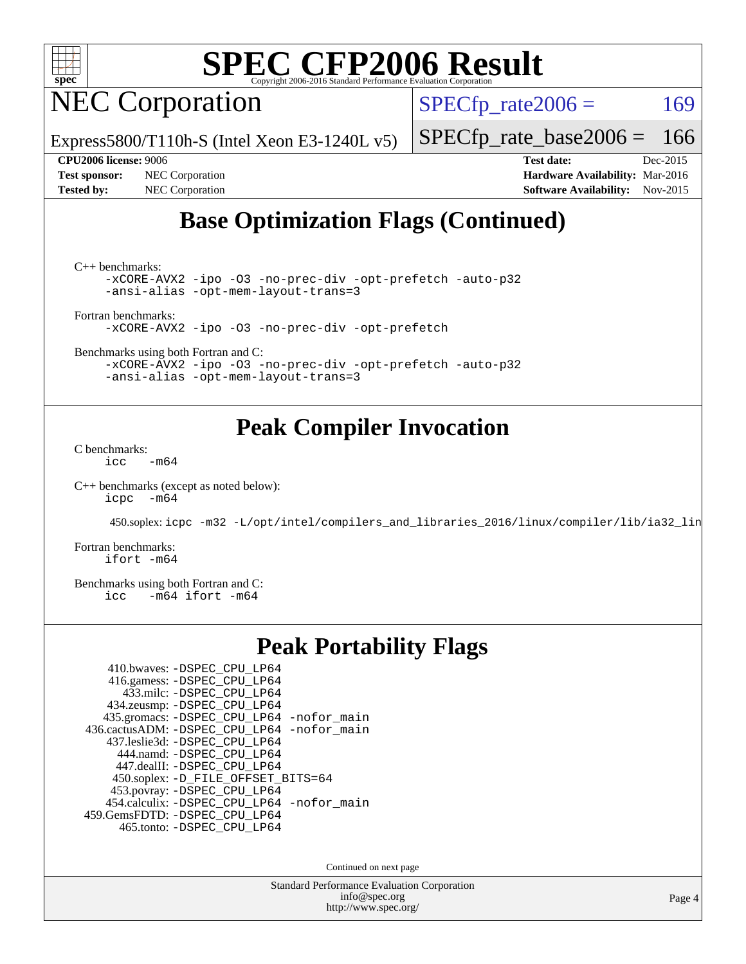

NEC Corporation

Express5800/T110h-S (Intel Xeon E3-1240L v5)

 $SPECTp\_rate2006 = 169$ 

[SPECfp\\_rate\\_base2006 =](http://www.spec.org/auto/cpu2006/Docs/result-fields.html#SPECfpratebase2006) 166

**[Test sponsor:](http://www.spec.org/auto/cpu2006/Docs/result-fields.html#Testsponsor)** NEC Corporation **[Hardware Availability:](http://www.spec.org/auto/cpu2006/Docs/result-fields.html#HardwareAvailability)** Mar-2016

**[CPU2006 license:](http://www.spec.org/auto/cpu2006/Docs/result-fields.html#CPU2006license)** 9006 **[Test date:](http://www.spec.org/auto/cpu2006/Docs/result-fields.html#Testdate)** Dec-2015 **[Tested by:](http://www.spec.org/auto/cpu2006/Docs/result-fields.html#Testedby)** NEC Corporation **[Software Availability:](http://www.spec.org/auto/cpu2006/Docs/result-fields.html#SoftwareAvailability)** Nov-2015

### **[Base Optimization Flags \(Continued\)](http://www.spec.org/auto/cpu2006/Docs/result-fields.html#BaseOptimizationFlags)**

[C++ benchmarks:](http://www.spec.org/auto/cpu2006/Docs/result-fields.html#CXXbenchmarks)

[-xCORE-AVX2](http://www.spec.org/cpu2006/results/res2016q1/cpu2006-20160125-38935.flags.html#user_CXXbase_f-xAVX2_5f5fc0cbe2c9f62c816d3e45806c70d7) [-ipo](http://www.spec.org/cpu2006/results/res2016q1/cpu2006-20160125-38935.flags.html#user_CXXbase_f-ipo) [-O3](http://www.spec.org/cpu2006/results/res2016q1/cpu2006-20160125-38935.flags.html#user_CXXbase_f-O3) [-no-prec-div](http://www.spec.org/cpu2006/results/res2016q1/cpu2006-20160125-38935.flags.html#user_CXXbase_f-no-prec-div) [-opt-prefetch](http://www.spec.org/cpu2006/results/res2016q1/cpu2006-20160125-38935.flags.html#user_CXXbase_f-opt-prefetch) [-auto-p32](http://www.spec.org/cpu2006/results/res2016q1/cpu2006-20160125-38935.flags.html#user_CXXbase_f-auto-p32) [-ansi-alias](http://www.spec.org/cpu2006/results/res2016q1/cpu2006-20160125-38935.flags.html#user_CXXbase_f-ansi-alias) [-opt-mem-layout-trans=3](http://www.spec.org/cpu2006/results/res2016q1/cpu2006-20160125-38935.flags.html#user_CXXbase_f-opt-mem-layout-trans_a7b82ad4bd7abf52556d4961a2ae94d5)

[Fortran benchmarks](http://www.spec.org/auto/cpu2006/Docs/result-fields.html#Fortranbenchmarks):

[-xCORE-AVX2](http://www.spec.org/cpu2006/results/res2016q1/cpu2006-20160125-38935.flags.html#user_FCbase_f-xAVX2_5f5fc0cbe2c9f62c816d3e45806c70d7) [-ipo](http://www.spec.org/cpu2006/results/res2016q1/cpu2006-20160125-38935.flags.html#user_FCbase_f-ipo) [-O3](http://www.spec.org/cpu2006/results/res2016q1/cpu2006-20160125-38935.flags.html#user_FCbase_f-O3) [-no-prec-div](http://www.spec.org/cpu2006/results/res2016q1/cpu2006-20160125-38935.flags.html#user_FCbase_f-no-prec-div) [-opt-prefetch](http://www.spec.org/cpu2006/results/res2016q1/cpu2006-20160125-38935.flags.html#user_FCbase_f-opt-prefetch)

[Benchmarks using both Fortran and C](http://www.spec.org/auto/cpu2006/Docs/result-fields.html#BenchmarksusingbothFortranandC):

[-xCORE-AVX2](http://www.spec.org/cpu2006/results/res2016q1/cpu2006-20160125-38935.flags.html#user_CC_FCbase_f-xAVX2_5f5fc0cbe2c9f62c816d3e45806c70d7) [-ipo](http://www.spec.org/cpu2006/results/res2016q1/cpu2006-20160125-38935.flags.html#user_CC_FCbase_f-ipo) [-O3](http://www.spec.org/cpu2006/results/res2016q1/cpu2006-20160125-38935.flags.html#user_CC_FCbase_f-O3) [-no-prec-div](http://www.spec.org/cpu2006/results/res2016q1/cpu2006-20160125-38935.flags.html#user_CC_FCbase_f-no-prec-div) [-opt-prefetch](http://www.spec.org/cpu2006/results/res2016q1/cpu2006-20160125-38935.flags.html#user_CC_FCbase_f-opt-prefetch) [-auto-p32](http://www.spec.org/cpu2006/results/res2016q1/cpu2006-20160125-38935.flags.html#user_CC_FCbase_f-auto-p32) [-ansi-alias](http://www.spec.org/cpu2006/results/res2016q1/cpu2006-20160125-38935.flags.html#user_CC_FCbase_f-ansi-alias) [-opt-mem-layout-trans=3](http://www.spec.org/cpu2006/results/res2016q1/cpu2006-20160125-38935.flags.html#user_CC_FCbase_f-opt-mem-layout-trans_a7b82ad4bd7abf52556d4961a2ae94d5)

### **[Peak Compiler Invocation](http://www.spec.org/auto/cpu2006/Docs/result-fields.html#PeakCompilerInvocation)**

[C benchmarks](http://www.spec.org/auto/cpu2006/Docs/result-fields.html#Cbenchmarks):  $\text{icc}$  -m64

[C++ benchmarks \(except as noted below\):](http://www.spec.org/auto/cpu2006/Docs/result-fields.html#CXXbenchmarksexceptasnotedbelow) [icpc -m64](http://www.spec.org/cpu2006/results/res2016q1/cpu2006-20160125-38935.flags.html#user_CXXpeak_intel_icpc_64bit_bedb90c1146cab66620883ef4f41a67e)

450.soplex: [icpc -m32 -L/opt/intel/compilers\\_and\\_libraries\\_2016/linux/compiler/lib/ia32\\_lin](http://www.spec.org/cpu2006/results/res2016q1/cpu2006-20160125-38935.flags.html#user_peakCXXLD450_soplex_intel_icpc_b4f50a394bdb4597aa5879c16bc3f5c5)

[Fortran benchmarks](http://www.spec.org/auto/cpu2006/Docs/result-fields.html#Fortranbenchmarks): [ifort -m64](http://www.spec.org/cpu2006/results/res2016q1/cpu2006-20160125-38935.flags.html#user_FCpeak_intel_ifort_64bit_ee9d0fb25645d0210d97eb0527dcc06e)

[Benchmarks using both Fortran and C](http://www.spec.org/auto/cpu2006/Docs/result-fields.html#BenchmarksusingbothFortranandC):<br>icc -m64 ifort -m64  $-m64$  ifort  $-m64$ 

### **[Peak Portability Flags](http://www.spec.org/auto/cpu2006/Docs/result-fields.html#PeakPortabilityFlags)**

| 410.bwaves: -DSPEC CPU LP64                |
|--------------------------------------------|
| 416.gamess: -DSPEC_CPU_LP64                |
| 433.milc: -DSPEC CPU LP64                  |
| 434.zeusmp: -DSPEC_CPU_LP64                |
| 435.gromacs: -DSPEC_CPU_LP64 -nofor_main   |
| 436.cactusADM: -DSPEC_CPU_LP64 -nofor_main |
| 437.leslie3d: -DSPEC CPU LP64              |
| 444.namd: -DSPEC CPU LP64                  |
| 447.dealII: -DSPEC_CPU_LP64                |
| 450.soplex: -D_FILE_OFFSET_BITS=64         |
| 453.povray: -DSPEC_CPU_LP64                |
| 454.calculix: -DSPEC_CPU_LP64 -nofor_main  |
| 459.GemsFDTD: -DSPEC_CPU_LP64              |
| 465.tonto: - DSPEC CPU LP64                |

Continued on next page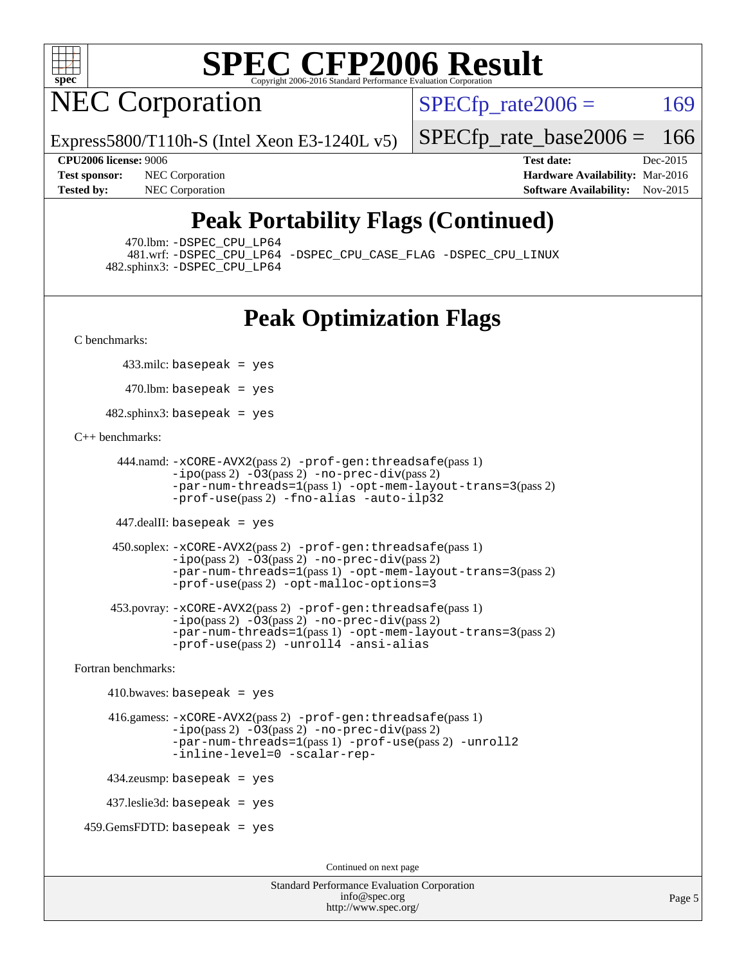

NEC Corporation

 $SPECTp\_rate2006 = 169$ 

Express5800/T110h-S (Intel Xeon E3-1240L v5)

[SPECfp\\_rate\\_base2006 =](http://www.spec.org/auto/cpu2006/Docs/result-fields.html#SPECfpratebase2006) 166

**[CPU2006 license:](http://www.spec.org/auto/cpu2006/Docs/result-fields.html#CPU2006license)** 9006 **[Test date:](http://www.spec.org/auto/cpu2006/Docs/result-fields.html#Testdate)** Dec-2015 **[Test sponsor:](http://www.spec.org/auto/cpu2006/Docs/result-fields.html#Testsponsor)** NEC Corporation **NEC Corporation [Hardware Availability:](http://www.spec.org/auto/cpu2006/Docs/result-fields.html#HardwareAvailability)** Mar-2016 **[Tested by:](http://www.spec.org/auto/cpu2006/Docs/result-fields.html#Testedby)** NEC Corporation **[Software Availability:](http://www.spec.org/auto/cpu2006/Docs/result-fields.html#SoftwareAvailability)** Nov-2015

### **[Peak Portability Flags \(Continued\)](http://www.spec.org/auto/cpu2006/Docs/result-fields.html#PeakPortabilityFlags)**

470.lbm: [-DSPEC\\_CPU\\_LP64](http://www.spec.org/cpu2006/results/res2016q1/cpu2006-20160125-38935.flags.html#suite_peakPORTABILITY470_lbm_DSPEC_CPU_LP64)

 481.wrf: [-DSPEC\\_CPU\\_LP64](http://www.spec.org/cpu2006/results/res2016q1/cpu2006-20160125-38935.flags.html#suite_peakPORTABILITY481_wrf_DSPEC_CPU_LP64) [-DSPEC\\_CPU\\_CASE\\_FLAG](http://www.spec.org/cpu2006/results/res2016q1/cpu2006-20160125-38935.flags.html#b481.wrf_peakCPORTABILITY_DSPEC_CPU_CASE_FLAG) [-DSPEC\\_CPU\\_LINUX](http://www.spec.org/cpu2006/results/res2016q1/cpu2006-20160125-38935.flags.html#b481.wrf_peakCPORTABILITY_DSPEC_CPU_LINUX) 482.sphinx3: [-DSPEC\\_CPU\\_LP64](http://www.spec.org/cpu2006/results/res2016q1/cpu2006-20160125-38935.flags.html#suite_peakPORTABILITY482_sphinx3_DSPEC_CPU_LP64)

### **[Peak Optimization Flags](http://www.spec.org/auto/cpu2006/Docs/result-fields.html#PeakOptimizationFlags)**

[C benchmarks](http://www.spec.org/auto/cpu2006/Docs/result-fields.html#Cbenchmarks):

433.milc: basepeak = yes

 $470$ .lbm: basepeak = yes

482.sphinx3: basepeak = yes

#### [C++ benchmarks:](http://www.spec.org/auto/cpu2006/Docs/result-fields.html#CXXbenchmarks)

```
 444.namd: -xCORE-AVX2(pass 2) -prof-gen:threadsafe(pass 1)
        -ipo(pass 2) -O3(pass 2) -no-prec-div(pass 2)
        -par-num-threads=1(pass 1) -opt-mem-layout-trans=3(pass 2)
        -prof-use(pass 2) -fno-alias -auto-ilp32
```
447.dealII: basepeak = yes

```
 450.soplex: -xCORE-AVX2(pass 2) -prof-gen:threadsafe(pass 1)
         -ipo(pass 2) -O3(pass 2) -no-prec-div(pass 2)
         -par-num-threads=1(pass 1) -opt-mem-layout-trans=3(pass 2)
         -prof-use(pass 2) -opt-malloc-options=3
```

```
 453.povray: -xCORE-AVX2(pass 2) -prof-gen:threadsafe(pass 1)
        -no-prec-div(pass 2)-par-num-threads=1(pass 1) -opt-mem-layout-trans=3(pass 2)
        -prof-use(pass 2) -unroll4 -ansi-alias
```
[Fortran benchmarks](http://www.spec.org/auto/cpu2006/Docs/result-fields.html#Fortranbenchmarks):

```
410.bwaves: basepeak = yes 416.gamess: -xCORE-AVX2(pass 2) -prof-gen:threadsafe(pass 1)
              -i\text{po}(pass 2) -\overline{O}3(pass 2)-no-prec-div(pass 2)
              -par-num-threads=1(pass 1) -prof-use(pass 2) -unroll2
              -inline-level=0 -scalar-rep-
    434.zeusmp: basepeak = yes
    437.leslie3d: basepeak = yes
459.GemsFDTD: basepeak = yes
```
Continued on next page